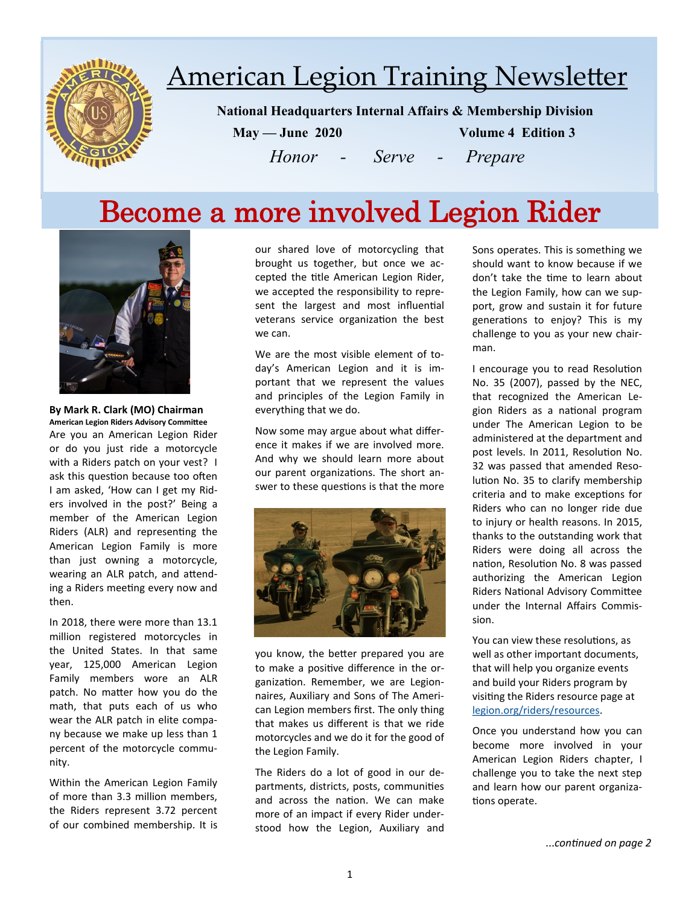

# American Legion Training Newsletter

 **National Headquarters Internal Affairs & Membership Division**

 **May — June 2020 Volume 4 Edition 3**

*Honor - Serve - Prepare*

## Become a more involved Legion Rider



**By Mark R. Clark (MO) Chairman American Legion Riders Advisory Committee** Are you an American Legion Rider or do you just ride a motorcycle with a Riders patch on your vest? I ask this question because too often I am asked, 'How can I get my Riders involved in the post?' Being a member of the American Legion Riders (ALR) and representing the American Legion Family is more than just owning a motorcycle, wearing an ALR patch, and attending a Riders meeting every now and then.

In 2018, there were more than 13.1 million registered motorcycles in the United States. In that same year, 125,000 American Legion Family members wore an ALR patch. No matter how you do the math, that puts each of us who wear the ALR patch in elite company because we make up less than 1 percent of the motorcycle community.

Within the American Legion Family of more than 3.3 million members, the Riders represent 3.72 percent of our combined membership. It is

our shared love of motorcycling that brought us together, but once we accepted the title American Legion Rider, we accepted the responsibility to represent the largest and most influential veterans service organization the best we can.

We are the most visible element of today's American Legion and it is important that we represent the values and principles of the Legion Family in everything that we do.

Now some may argue about what difference it makes if we are involved more. And why we should learn more about our parent organizations. The short answer to these questions is that the more



you know, the better prepared you are to make a positive difference in the organization. Remember, we are Legionnaires, Auxiliary and Sons of The American Legion members first. The only thing that makes us different is that we ride motorcycles and we do it for the good of the Legion Family.

The Riders do a lot of good in our departments, districts, posts, communities and across the nation. We can make more of an impact if every Rider understood how the Legion, Auxiliary and

Sons operates. This is something we should want to know because if we don't take the time to learn about the Legion Family, how can we support, grow and sustain it for future generations to enjoy? This is my challenge to you as your new chairman.

I encourage you to read Resolution No. 35 (2007), passed by the NEC, that recognized the American Legion Riders as a national program under The American Legion to be administered at the department and post levels. In 2011, Resolution No. 32 was passed that amended Resolution No. 35 to clarify membership criteria and to make exceptions for Riders who can no longer ride due to injury or health reasons. In 2015, thanks to the outstanding work that Riders were doing all across the nation, Resolution No. 8 was passed authorizing the American Legion Riders National Advisory Committee under the Internal Affairs Commission.

You can view these resolutions, as well as other important documents, that will help you organize events and build your Riders program by visiting the Riders resource page at [legion.org/riders/resources.](https://www.legion.org/riders/resources)

Once you understand how you can become more involved in your American Legion Riders chapter, I challenge you to take the next step and learn how our parent organizations operate.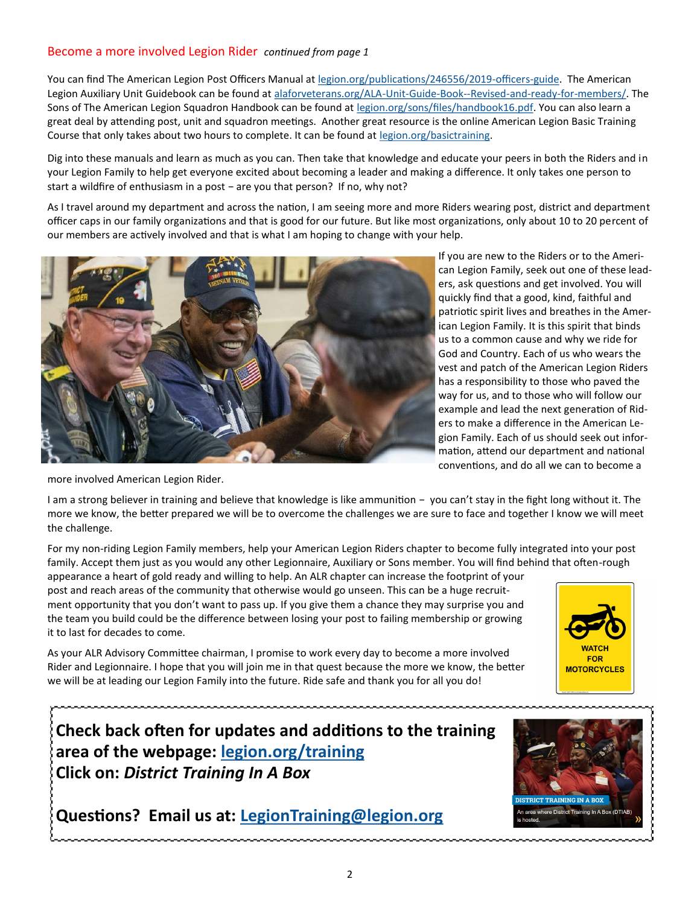#### Become a more involved Legion Rider *continued from page 1*

You can find The American Legion Post Officers Manual at [legion.org/publications/246556/2019](https://www.legion.org/publications/246556/2019-officers-guide)-officers-guide. The American Legion Auxiliary Unit Guidebook can be found at [alaforveterans.org/ALA](https://www.alaforveterans.org/ALA-Unit-Guide-Book--Revised-and-ready-for-members/)-Unit-Guide-Book--Revised-and-ready-for-members/. The Sons of The American Legion Squadron Handbook can be found at [legion.org/sons/files/handbook16.pdf.](https://www.legion.org/sons/files/handbook16.pdf) You can also learn a great deal by attending post, unit and squadron meetings. Another great resource is the online American Legion Basic Training Course that only takes about two hours to complete. It can be found at [legion.org/basictraining.](https://www.legion.org/basictraining)

Dig into these manuals and learn as much as you can. Then take that knowledge and educate your peers in both the Riders and in your Legion Family to help get everyone excited about becoming a leader and making a difference. It only takes one person to start a wildfire of enthusiasm in a post − are you that person? If no, why not?

As I travel around my department and across the nation, I am seeing more and more Riders wearing post, district and department officer caps in our family organizations and that is good for our future. But like most organizations, only about 10 to 20 percent of our members are actively involved and that is what I am hoping to change with your help.



If you are new to the Riders or to the American Legion Family, seek out one of these leaders, ask questions and get involved. You will quickly find that a good, kind, faithful and patriotic spirit lives and breathes in the American Legion Family. It is this spirit that binds us to a common cause and why we ride for God and Country. Each of us who wears the vest and patch of the American Legion Riders has a responsibility to those who paved the way for us, and to those who will follow our example and lead the next generation of Riders to make a difference in the American Legion Family. Each of us should seek out information, attend our department and national conventions, and do all we can to become a

more involved American Legion Rider.

I am a strong believer in training and believe that knowledge is like ammunition − you can't stay in the fight long without it. The more we know, the better prepared we will be to overcome the challenges we are sure to face and together I know we will meet the challenge.

For my non-riding Legion Family members, help your American Legion Riders chapter to become fully integrated into your post family. Accept them just as you would any other Legionnaire, Auxiliary or Sons member. You will find behind that often-rough

appearance a heart of gold ready and willing to help. An ALR chapter can increase the footprint of your post and reach areas of the community that otherwise would go unseen. This can be a huge recruitment opportunity that you don't want to pass up. If you give them a chance they may surprise you and the team you build could be the difference between losing your post to failing membership or growing it to last for decades to come.

As your ALR Advisory Committee chairman, I promise to work every day to become a more involved Rider and Legionnaire. I hope that you will join me in that quest because the more we know, the better we will be at leading our Legion Family into the future. Ride safe and thank you for all you do!

**Check back often for updates and additions to the training area of the webpage: [legion.org/training](https://www.legion.org/training) Click on:** *District Training In A Box*

**Questions? Email us at: [LegionTraining@legion.org](mailto:LegionTraining@legion.org)**



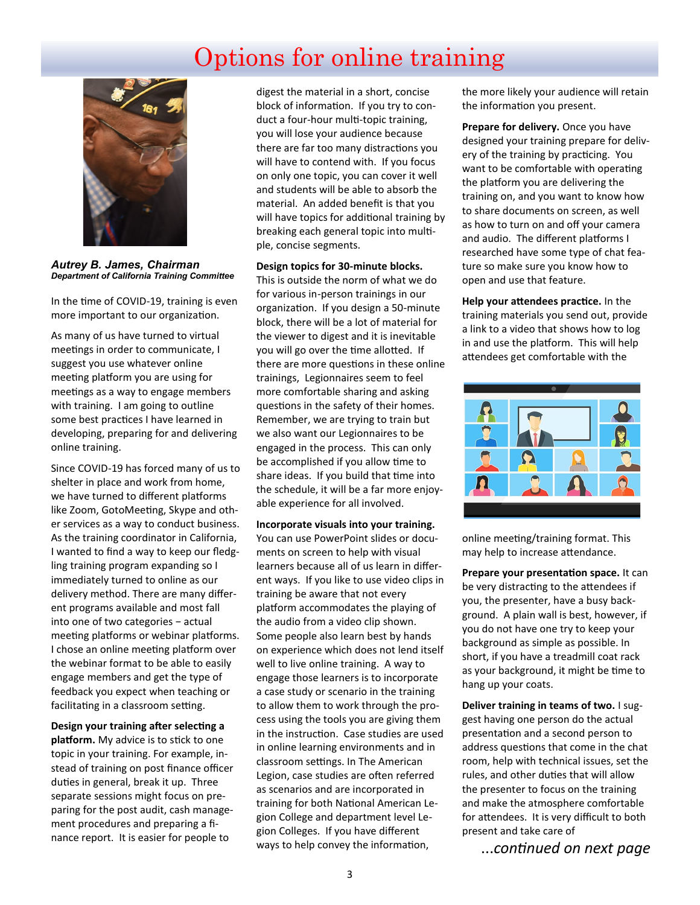## Options for online training



*Autrey B. James, Chairman Department of California Training Committee*

In the time of COVID-19, training is even more important to our organization.

As many of us have turned to virtual meetings in order to communicate, I suggest you use whatever online meeting platform you are using for meetings as a way to engage members with training. I am going to outline some best practices I have learned in developing, preparing for and delivering online training.

Since COVID-19 has forced many of us to shelter in place and work from home, we have turned to different platforms like Zoom, GotoMeeting, Skype and other services as a way to conduct business. As the training coordinator in California, I wanted to find a way to keep our fledgling training program expanding so I immediately turned to online as our delivery method. There are many different programs available and most fall into one of two categories − actual meeting platforms or webinar platforms. I chose an online meeting platform over the webinar format to be able to easily engage members and get the type of feedback you expect when teaching or facilitating in a classroom setting.

**Design your training after selecting a platform.** My advice is to stick to one topic in your training. For example, instead of training on post finance officer duties in general, break it up. Three separate sessions might focus on preparing for the post audit, cash management procedures and preparing a finance report. It is easier for people to

digest the material in a short, concise block of information. If you try to conduct a four-hour multi-topic training, you will lose your audience because there are far too many distractions you will have to contend with. If you focus on only one topic, you can cover it well and students will be able to absorb the material. An added benefit is that you will have topics for additional training by breaking each general topic into multiple, concise segments.

**Design topics for 30-minute blocks.** 

This is outside the norm of what we do for various in-person trainings in our organization. If you design a 50-minute block, there will be a lot of material for the viewer to digest and it is inevitable you will go over the time allotted. If there are more questions in these online trainings, Legionnaires seem to feel more comfortable sharing and asking questions in the safety of their homes. Remember, we are trying to train but we also want our Legionnaires to be engaged in the process. This can only be accomplished if you allow time to share ideas. If you build that time into the schedule, it will be a far more enjoyable experience for all involved.

**Incorporate visuals into your training.**  You can use PowerPoint slides or documents on screen to help with visual learners because all of us learn in different ways. If you like to use video clips in training be aware that not every platform accommodates the playing of the audio from a video clip shown. Some people also learn best by hands on experience which does not lend itself well to live online training. A way to engage those learners is to incorporate a case study or scenario in the training to allow them to work through the process using the tools you are giving them in the instruction. Case studies are used in online learning environments and in classroom settings. In The American Legion, case studies are often referred as scenarios and are incorporated in training for both National American Legion College and department level Legion Colleges. If you have different ways to help convey the information,

the more likely your audience will retain the information you present.

**Prepare for delivery.** Once you have designed your training prepare for delivery of the training by practicing. You want to be comfortable with operating the platform you are delivering the training on, and you want to know how to share documents on screen, as well as how to turn on and off your camera and audio. The different platforms I researched have some type of chat feature so make sure you know how to open and use that feature.

**Help your attendees practice.** In the training materials you send out, provide a link to a video that shows how to log in and use the platform. This will help attendees get comfortable with the



online meeting/training format. This may help to increase attendance.

**Prepare your presentation space.** It can be very distracting to the attendees if you, the presenter, have a busy background. A plain wall is best, however, if you do not have one try to keep your background as simple as possible. In short, if you have a treadmill coat rack as your background, it might be time to hang up your coats.

**Deliver training in teams of two.** I suggest having one person do the actual presentation and a second person to address questions that come in the chat room, help with technical issues, set the rules, and other duties that will allow the presenter to focus on the training and make the atmosphere comfortable for attendees. It is very difficult to both present and take care of

...*continued on next page*